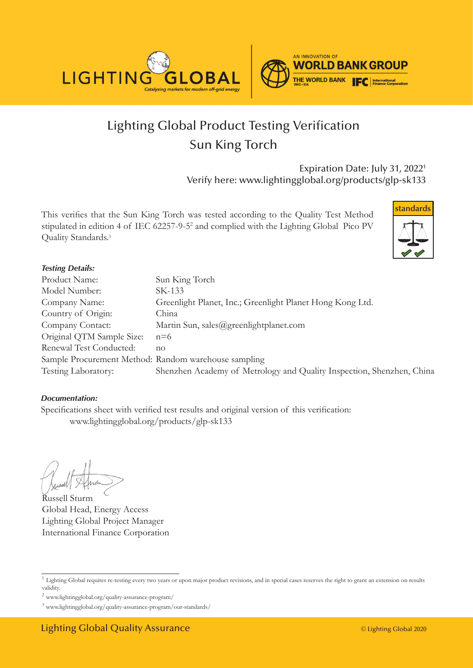



# Lighting Global Product Testing Verification Sun King Torch

Expiration Date: July 31, 20221 Verify here: www.lightingglobal.org/products/glp-sk133

This verifies that the Sun King Torch was tested according to the Quality Test Method stipulated in edition 4 of IEC 62257-9-5<sup>2</sup> and complied with the Lighting Global Pico PV Quality Standards.<sup>3</sup>



#### *Testing Details:*

| Product Name:                                        | Sun King Torch                                                        |
|------------------------------------------------------|-----------------------------------------------------------------------|
| Model Number:                                        | SK-133                                                                |
| Company Name:                                        | Greenlight Planet, Inc.; Greenlight Planet Hong Kong Ltd.             |
| Country of Origin:                                   | China                                                                 |
| Company Contact:                                     | Martin Sun, sales@greenlightplanet.com                                |
| Original QTM Sample Size:                            | $n=6$                                                                 |
| Renewal Test Conducted:                              | no                                                                    |
| Sample Procurement Method: Random warehouse sampling |                                                                       |
| Testing Laboratory:                                  | Shenzhen Academy of Metrology and Quality Inspection, Shenzhen, China |

#### *Documentation:*

Specifications sheet with verified test results and original version of this verification: www.lightingglobal.org/products/glp-sk133

Russell Sturm Global Head, Energy Access Lighting Global Project Manager International Finance Corporation

<sup>&</sup>lt;sup>1</sup> Lighting Global requires re-testing every two years or upon major product revisions, and in special cases reserves the right to grant an extension on results validity.

 $^2$ www.lightingglobal.org/quality-assurance-program/  $\,$ 

<sup>3</sup> www.lightingglobal.org/quality-assurance-program/our-standards/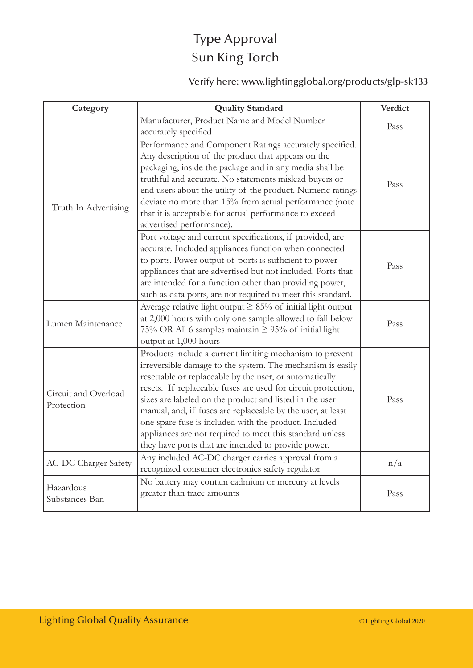### Type Approval Sun King Torch

Verify here: www.lightingglobal.org/products/glp-sk133

| Category                           | <b>Quality Standard</b>                                                                                                                                                                                                                                                                                                                                                                                                                                                                                                                                  | Verdict |
|------------------------------------|----------------------------------------------------------------------------------------------------------------------------------------------------------------------------------------------------------------------------------------------------------------------------------------------------------------------------------------------------------------------------------------------------------------------------------------------------------------------------------------------------------------------------------------------------------|---------|
| Truth In Advertising               | Manufacturer, Product Name and Model Number<br>accurately specified                                                                                                                                                                                                                                                                                                                                                                                                                                                                                      | Pass    |
|                                    | Performance and Component Ratings accurately specified.<br>Any description of the product that appears on the<br>packaging, inside the package and in any media shall be<br>truthful and accurate. No statements mislead buyers or<br>end users about the utility of the product. Numeric ratings<br>deviate no more than 15% from actual performance (note<br>that it is acceptable for actual performance to exceed<br>advertised performance).                                                                                                        | Pass    |
|                                    | Port voltage and current specifications, if provided, are<br>accurate. Included appliances function when connected<br>to ports. Power output of ports is sufficient to power<br>appliances that are advertised but not included. Ports that<br>are intended for a function other than providing power,<br>such as data ports, are not required to meet this standard.                                                                                                                                                                                    | Pass    |
| Lumen Maintenance                  | Average relative light output $\geq$ 85% of initial light output<br>at 2,000 hours with only one sample allowed to fall below<br>75% OR All 6 samples maintain $\geq$ 95% of initial light<br>output at 1,000 hours                                                                                                                                                                                                                                                                                                                                      | Pass    |
| Circuit and Overload<br>Protection | Products include a current limiting mechanism to prevent<br>irreversible damage to the system. The mechanism is easily<br>resettable or replaceable by the user, or automatically<br>resets. If replaceable fuses are used for circuit protection,<br>sizes are labeled on the product and listed in the user<br>manual, and, if fuses are replaceable by the user, at least<br>one spare fuse is included with the product. Included<br>appliances are not required to meet this standard unless<br>they have ports that are intended to provide power. | Pass    |
| <b>AC-DC Charger Safety</b>        | Any included AC-DC charger carries approval from a<br>recognized consumer electronics safety regulator                                                                                                                                                                                                                                                                                                                                                                                                                                                   | n/a     |
| Hazardous<br>Substances Ban        | No battery may contain cadmium or mercury at levels<br>greater than trace amounts                                                                                                                                                                                                                                                                                                                                                                                                                                                                        | Pass    |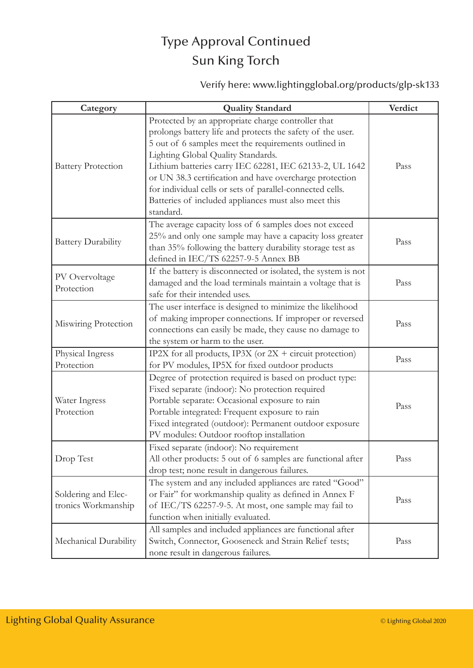## Type Approval Continued Sun King Torch

Verify here: www.lightingglobal.org/products/glp-sk133

| Category                                   | <b>Quality Standard</b>                                                                                                                                                                                                                                                                                                                                                                                                                                                | Verdict |
|--------------------------------------------|------------------------------------------------------------------------------------------------------------------------------------------------------------------------------------------------------------------------------------------------------------------------------------------------------------------------------------------------------------------------------------------------------------------------------------------------------------------------|---------|
| <b>Battery Protection</b>                  | Protected by an appropriate charge controller that<br>prolongs battery life and protects the safety of the user.<br>5 out of 6 samples meet the requirements outlined in<br>Lighting Global Quality Standards.<br>Lithium batteries carry IEC 62281, IEC 62133-2, UL 1642<br>or UN 38.3 certification and have overcharge protection<br>for individual cells or sets of parallel-connected cells.<br>Batteries of included appliances must also meet this<br>standard. | Pass    |
| <b>Battery Durability</b>                  | The average capacity loss of 6 samples does not exceed<br>25% and only one sample may have a capacity loss greater<br>than 35% following the battery durability storage test as<br>defined in IEC/TS 62257-9-5 Annex BB                                                                                                                                                                                                                                                | Pass    |
| PV Overvoltage<br>Protection               | If the battery is disconnected or isolated, the system is not<br>damaged and the load terminals maintain a voltage that is<br>safe for their intended uses.                                                                                                                                                                                                                                                                                                            | Pass    |
| Miswiring Protection                       | The user interface is designed to minimize the likelihood<br>of making improper connections. If improper or reversed<br>connections can easily be made, they cause no damage to<br>the system or harm to the user.                                                                                                                                                                                                                                                     | Pass    |
| Physical Ingress<br>Protection             | IP2X for all products, IP3X (or $2X +$ circuit protection)<br>for PV modules, IP5X for fixed outdoor products                                                                                                                                                                                                                                                                                                                                                          | Pass    |
| Water Ingress<br>Protection                | Degree of protection required is based on product type:<br>Fixed separate (indoor): No protection required<br>Portable separate: Occasional exposure to rain<br>Portable integrated: Frequent exposure to rain<br>Fixed integrated (outdoor): Permanent outdoor exposure<br>PV modules: Outdoor rooftop installation                                                                                                                                                   | Pass    |
| Drop Test                                  | Fixed separate (indoor): No requirement<br>All other products: 5 out of 6 samples are functional after<br>drop test; none result in dangerous failures.                                                                                                                                                                                                                                                                                                                | Pass    |
| Soldering and Elec-<br>tronics Workmanship | The system and any included appliances are rated "Good"<br>or Fair" for workmanship quality as defined in Annex F<br>of IEC/TS 62257-9-5. At most, one sample may fail to<br>function when initially evaluated.                                                                                                                                                                                                                                                        | Pass    |
| Mechanical Durability                      | All samples and included appliances are functional after<br>Switch, Connector, Gooseneck and Strain Relief tests;<br>none result in dangerous failures.                                                                                                                                                                                                                                                                                                                | Pass    |